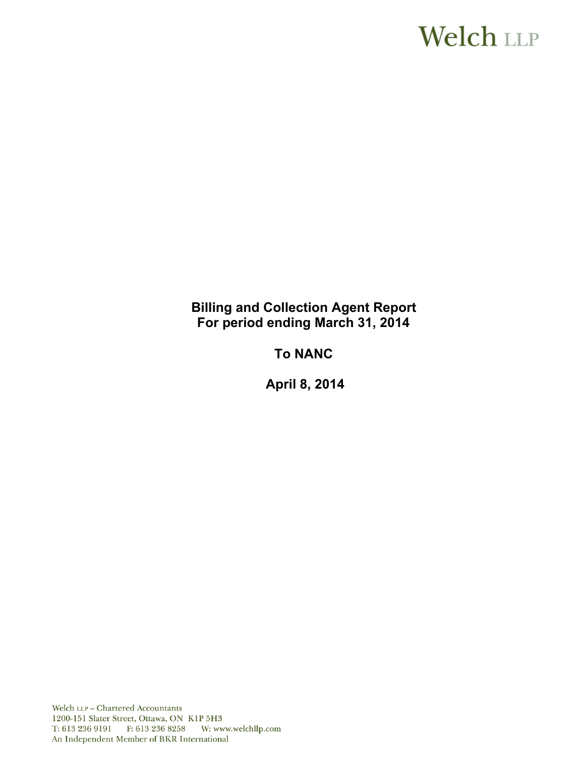# **Welch LLP**

# **Billing and Collection Agent Report For period ending March 31, 2014**

# **To NANC**

 **April 8, 2014**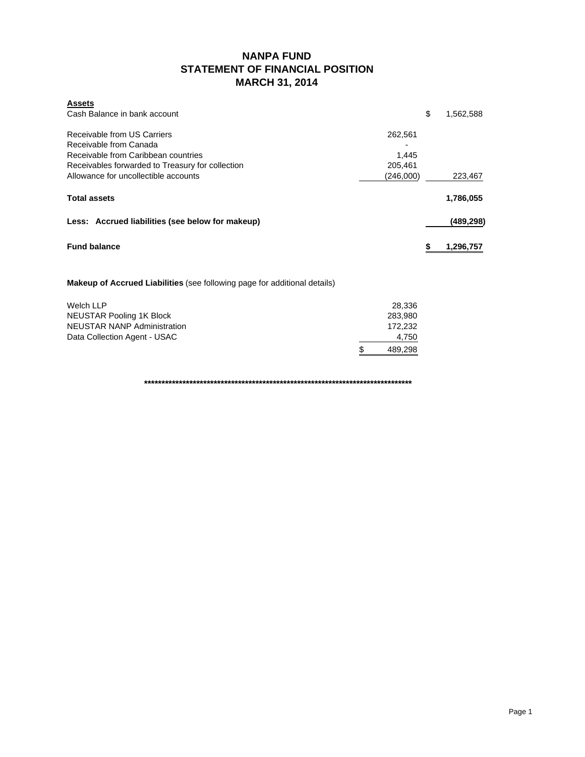## **NANPA FUND STATEMENT OF FINANCIAL POSITION MARCH 31, 2014**

| <b>Assets</b><br>Cash Balance in bank account                                                                                                                                            | \$                                       | 1,562,588 |
|------------------------------------------------------------------------------------------------------------------------------------------------------------------------------------------|------------------------------------------|-----------|
| Receivable from US Carriers<br>Receivable from Canada<br>Receivable from Caribbean countries<br>Receivables forwarded to Treasury for collection<br>Allowance for uncollectible accounts | 262,561<br>1.445<br>205,461<br>(246,000) | 223.467   |
| <b>Total assets</b>                                                                                                                                                                      |                                          | 1,786,055 |
| Less: Accrued liabilities (see below for makeup)                                                                                                                                         |                                          | (489,298) |
| <b>Fund balance</b>                                                                                                                                                                      |                                          | 1,296,757 |

#### **Makeup of Accrued Liabilities** (see following page for additional details)

| Welch LLP                    | 28.336  |
|------------------------------|---------|
| NEUSTAR Pooling 1K Block     | 283.980 |
| NEUSTAR NANP Administration  | 172.232 |
| Data Collection Agent - USAC | 4.750   |
|                              | 489.298 |

**\*\*\*\*\*\*\*\*\*\*\*\*\*\*\*\*\*\*\*\*\*\*\*\*\*\*\*\*\*\*\*\*\*\*\*\*\*\*\*\*\*\*\*\*\*\*\*\*\*\*\*\*\*\*\*\*\*\*\*\*\*\*\*\*\*\*\*\*\*\*\*\*\*\*\*\*\***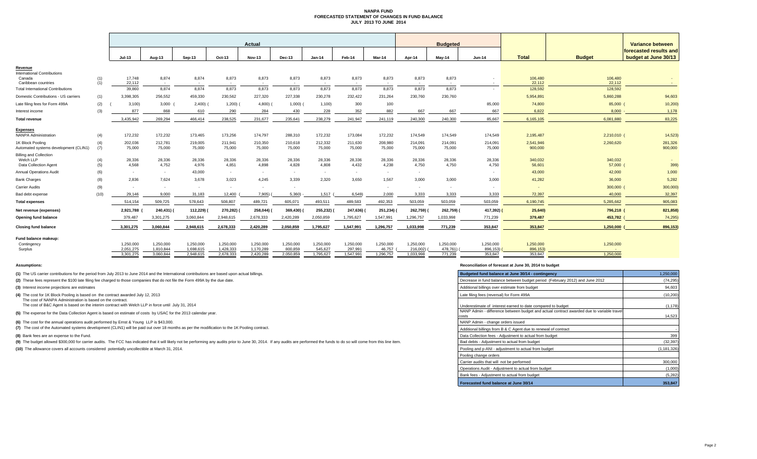#### **NANPA FUND FORECASTED STATEMENT OF CHANGES IN FUND BALANCE JULY 2013 TO JUNE 2014**

|                                                                 |      |                  |                 | <b>Actual</b> |                 |               |           |                 |                 | <b>Budgeted</b>             |           |           |                          | Variance between  |                   |                        |
|-----------------------------------------------------------------|------|------------------|-----------------|---------------|-----------------|---------------|-----------|-----------------|-----------------|-----------------------------|-----------|-----------|--------------------------|-------------------|-------------------|------------------------|
|                                                                 |      |                  |                 |               |                 |               |           |                 |                 |                             |           |           |                          |                   |                   | forecasted results and |
|                                                                 |      | $Jul-13$         | Aug-13          | Sep-13        | Oct-13          | <b>Nov-13</b> | Dec-13    | $Jan-14$        | Feb-14          | Mar-14                      | Apr-14    | May-14    | <b>Jun-14</b>            | <b>Total</b>      | <b>Budget</b>     | budget at June 30/13   |
| Revenue                                                         |      |                  |                 |               |                 |               |           |                 |                 |                             |           |           |                          |                   |                   |                        |
| <b>International Contributions</b>                              |      |                  |                 |               |                 |               |           |                 |                 |                             |           |           |                          |                   |                   |                        |
| Canada                                                          | (1)  | 17.748           | 8,874           | 8,874         | 8,873           | 8,873         | 8,873     | 8,873           | 8,873           | 8,873                       | 8,873     | 8,873     |                          | 106,480           | 106,480           |                        |
| Caribbean countries<br><b>Total International Contributions</b> | (1)  | 22,112<br>39,860 | $\sim$<br>8,874 | 8,874         | $\sim$<br>8,873 | 8,873         | 8,873     | $\sim$<br>8,873 | $\sim$<br>8,873 | 8,873                       | 8,873     | 8,873     | $\overline{\phantom{a}}$ | 22,112<br>128,592 | 22,112<br>128,592 |                        |
|                                                                 |      |                  |                 |               |                 |               |           |                 |                 |                             |           |           |                          |                   |                   |                        |
| Domestic Contributions - US carriers                            | (1)  | 3,398,305        | 256,552         | 459,330       | 230,562         | 227,320       | 227,338   | 230,278         | 232,422         | 231,264                     | 230,760   | 230,760   |                          | 5,954,891         | 5,860,288         | 94,603                 |
| Late filing fees for Form 499A                                  | (2)  | 3,100            | 3,000           | 2,400)        | 1,200)          | $4,800$ )     | 1,000     | 1,100           | 300             | 100                         |           |           | 85,000                   | 74,800            | 85,000 (          | 10,200                 |
| Interest income                                                 | (3)  | 877              | 868             | 610           | 290             | 284           | 430       | 228             | 352             | 882                         | 667       | 667       | 667                      | 6.822             | 8.000             | 1,178                  |
| <b>Total revenue</b>                                            |      | 3,435,942        | 269,294         | 466,414       | 238,525         | 231,677       | 235,641   | 238,279         | 241.947         | 241,119                     | 240,300   | 240,300   | 85,667                   | 6,165,105         | 6,081,880         | 83,225                 |
| <b>Expenses</b>                                                 |      |                  |                 |               |                 |               |           |                 |                 |                             |           |           |                          |                   |                   |                        |
| <b>NANPA Administration</b>                                     | (4)  | 172,232          | 172,232         | 173,465       | 173,256         | 174,797       | 288,310   | 172,232         | 173,084         | 172,232                     | 174,549   | 174,549   | 174,549                  | 2,195,487         | 2,210,010 (       | 14,523                 |
| 1K Block Pooling                                                | (4)  | 202,036          | 212,781         | 219,005       | 211,941         | 210,350       | 210,618   | 212,332         | 211,630         | 208,980                     | 214,091   | 214,091   | 214,091                  | 2,541,946         | 2,260,620         | 281,326                |
| Automated systems development (CLIN1)                           | (7)  | 75,000           | 75,000          | 75,000        | 75,000          | 75,000        | 75,000    | 75,000          | 75,000          | 75,000                      | 75,000    | 75,000    | 75,000                   | 900,000           |                   | 900,000                |
| <b>Billing and Collection</b>                                   |      |                  |                 |               |                 |               |           |                 |                 |                             |           |           |                          |                   |                   |                        |
| Welch LLP                                                       | (4)  | 28,336           | 28,336          | 28,336        | 28,336          | 28,336        | 28,336    | 28,336          | 28,336          | 28,336                      | 28,336    | 28,336    | 28,336                   | 340,032           | 340,032           |                        |
| Data Collection Agent                                           | (5)  | 4,568            | 4,752           | 4,976         | 4,851           | 4,898         | 4,828     | 4,808           | 4,432           | 4,238                       | 4,750     | 4,750     | 4,750                    | 56,601            | 57,000 (          | 399)                   |
| <b>Annual Operations Audit</b>                                  | (6)  | $\sim$           | $\sim$          | 43,000        | $\sim$          | $\sim$        | $\sim$    | $\sim$          | $\sim$          | <b><i><u>Part 1</u></i></b> | $\sim$    |           |                          | 43,000            | 42,000            | 1,000                  |
| <b>Bank Charges</b>                                             | (8)  | 2.836            | 7,624           | 3,678         | 3,023           | 4.245         | 3.339     | 2,320           | 3,650           | 1,567                       | 3.000     | 3.000     | 3,000                    | 41,282            | 36,000            | 5,282                  |
| <b>Carrier Audits</b>                                           | (9)  | $\sim$           | $\sim$          | $\sim$        | $\sim$          |               | $\sim$    |                 |                 |                             | $\sim$    | $\sim$    |                          |                   | 300,000           | 300,000                |
| Bad debt expense                                                | (10) | 29.146           | 9,000           | 31,183        | 12,400          | 7,905)        | 5,360     | 1,517           | 6,549)          | 2,000                       | 3,333     | 3.333     | 3,333                    | 72,397            | 40,000            | 32,397                 |
| <b>Total expenses</b>                                           |      | 514,154          | 509,725         | 578,643       | 508,807         | 489,721       | 605,071   | 493,511         | 489,583         | 492,353                     | 503,059   | 503,059   | 503,059                  | 6,190,745         | 5,285,662         | 905,083                |
| Net revenue (expenses)                                          |      | 2,921,788        | 240,431)        | 112,229)      | 270,282)        | 258,044) (    | 369,430)  | 255,232) (      | 247,636)        | 251,234) (                  | 262,759)  | 262,759)  | 417,392) (               | 25,640)           | 796,218 (         | 821,858)               |
| Opening fund balance                                            |      | 379,487          | 3,301,275       | 3,060,844     | 2,948,615       | 2,678,333     | 2,420,289 | 2,050,859       | 1,795,627       | 1,547,991                   | 1,296,757 | 1,033,998 | 771,239                  | 379,487           | 453,782           | 74,295                 |
| <b>Closing fund balance</b>                                     |      | 3,301,275        | 3,060,844       | 2,948,615     | 2,678,333       | 2,420,289     | 2,050,859 | 1,795,627       | 1,547,991       | 1,296,757                   | 1,033,998 | 771,239   | 353,847                  | 353,847           | 1,250,000         | 896,153                |
| Fund balance makeup:                                            |      |                  |                 |               |                 |               |           |                 |                 |                             |           |           |                          |                   |                   |                        |
| Contingency                                                     |      | 1,250,000        | 1,250,000       | 1,250,000     | 1,250,000       | 1,250,000     | 1,250,000 | 1,250,000       | 1,250,000       | 1,250,000                   | 1,250,000 | 1,250,000 | 1,250,000                | 1,250,000         | 1,250,000         |                        |
| Surplus                                                         |      | 2,051,275        | 1,810,844       | 1,698,615     | 1,428,333       | 1,170,289     | 800,859   | 545,627         | 297,991         | 46,757                      | 216,002)  | 478,761)  | 896,153)                 | 896,153)          |                   |                        |
|                                                                 |      | 3,301,275        | 3,060,844       | 2,948,615     | 2,678,333       | 2,420,289     | 2,050,859 | 1,795,627       | 1,547,991       | 1,296,757                   | 1.033.998 | 771,239   | 353,847                  | 353,847           | 1,250,000         |                        |

**(1)** The US carrier contributions for the period from July 2013 to June 2014 and the International contributions are based upon actual billings.

(2) These fees represent the \$100 late filing fee charged to those companies that do not file the Form 499A by the due date.

**(3)** Interest income projections are estimates

**(4)** The cost for 1K Block Pooling is based on the contract awarded July 12, 2013

The cost of NANPA Administration is based on the contract. The cost of B&C Agent is based on the interim contract with Welch LLP in force until July 31, 2014

**(5)** The expense for the Data Collection Agent is based on estimate of costs by USAC for the 2013 calendar year.

**(6)** The cost for the annual operations audit performed by Ernst & Young LLP is \$43,000.

**(7)** The cost of the Automated systems development (CLIN1) will be paid out over 18 months as per the modification to the 1K Pooling contract.

**(8)** Bank fees are an expense to the Fund.

(9) The budget allowed \$300,000 for carrier audits. The FCC has indicated that it will likely not be performing any audits prior to June 30, 2014. If any audits are performed the funds to do so will come from this line ite

**(10)** The allowance covers all accounts considered potentially uncollectible at March 31, 2014.

#### **Assumptions: Reconciliation of forecast at June 30, 2014 to budget**

| Budgeted fund balance at June 30/14 - contingency                                                  | 1,250,000     |
|----------------------------------------------------------------------------------------------------|---------------|
| Decrease in fund balance between budget period (February 2012) and June 2012                       | (74, 295)     |
| Additional billings over estimate from budget                                                      | 94,603        |
| Late filing fees (reversal) for Form 499A                                                          | (10, 200)     |
| Underestimate of interest earned to date compared to budget                                        | (1, 178)      |
| NANP Admin - difference between budget and actual contract awarded due to variable travel<br>costs | 14.523        |
| NANP Admin - change orders issued                                                                  |               |
| Additional billings from B & C Agent due to renewal of contract                                    |               |
| Data Collection fees - Adjustment to actual from budget                                            | 399           |
| Bad debts - Adjustment to actual from budget                                                       | (32, 397)     |
| Pooling and p-ANI - adjustment to actual from budget                                               | (1, 181, 326) |
| Pooling change orders                                                                              |               |
| Carrier audits that will not be performed                                                          | 300,000       |
| Operations Audit - Adjustment to actual from budget                                                | (1,000)       |
| Bank fees - Adjustment to actual from budget                                                       | (5, 282)      |
| Forecasted fund balance at June 30/14                                                              | 353,847       |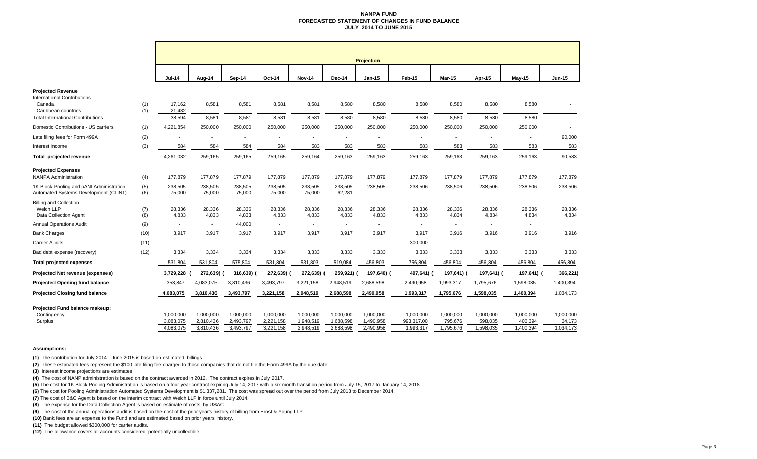#### **NANPA FUND FORECASTED STATEMENT OF CHANGES IN FUND BALANCEJULY 2014 TO JUNE 2015**

|                                                                                                                                             |            | <b>Projection</b>                   |                                            |                                     |                                     |                                     |                                     |                                     |                                      |                                   |                                   |                                   |                                  |  |
|---------------------------------------------------------------------------------------------------------------------------------------------|------------|-------------------------------------|--------------------------------------------|-------------------------------------|-------------------------------------|-------------------------------------|-------------------------------------|-------------------------------------|--------------------------------------|-----------------------------------|-----------------------------------|-----------------------------------|----------------------------------|--|
|                                                                                                                                             |            | <b>Jul-14</b>                       | Aug-14                                     | Sep-14                              | Oct-14                              | <b>Nov-14</b>                       | Dec-14                              | $Jan-15$                            | Feb-15                               | <b>Mar-15</b>                     | Apr-15                            | $May-15$                          | $Jun-15$                         |  |
| <b>Projected Revenue</b><br><b>International Contributions</b><br>Canada<br>Caribbean countries<br><b>Total International Contributions</b> | (1)<br>(1) | 17,162<br>21,432<br>38,594          | 8,581<br>$\overline{\phantom{a}}$<br>8,581 | 8,581<br>$\sim$<br>8,581            | 8,581<br>8,581                      | 8,581<br>8,581                      | 8,580<br>8,580                      | 8,580<br>8,580                      | 8,580<br>$\sim$<br>8,580             | 8,580<br>8,580                    | 8,580<br>8,580                    | 8,580<br>8,580                    | $\sim$                           |  |
| Domestic Contributions - US carriers                                                                                                        | (1)        | 4,221,854                           | 250,000                                    | 250,000                             | 250,000                             | 250,000                             | 250,000                             | 250,000                             | 250,000                              | 250,000                           | 250,000                           | 250,000                           |                                  |  |
| Late filing fees for Form 499A                                                                                                              | (2)        |                                     |                                            |                                     |                                     |                                     |                                     |                                     |                                      |                                   |                                   |                                   | 90,000                           |  |
| Interest income                                                                                                                             | (3)        | 584                                 | 584                                        | 584                                 | 584                                 | 583                                 | 583                                 | 583                                 | 583                                  | 583                               | 583                               | 583                               | 583                              |  |
| Total projected revenue                                                                                                                     |            | 4,261,032                           | 259,165                                    | 259,165                             | 259,165                             | 259,164                             | 259,163                             | 259,163                             | 259,163                              | 259,163                           | 259,163                           | 259,163                           | 90,583                           |  |
| <b>Projected Expenses</b><br><b>NANPA Administration</b>                                                                                    | (4)        | 177,879                             | 177,879                                    | 177,879                             | 177,879                             | 177,879                             | 177,879                             | 177,879                             | 177,879                              | 177,879                           | 177,879                           | 177,879                           | 177,879                          |  |
| 1K Block Pooling and pANI Administration<br>Automated Systems Development (CLIN1)                                                           | (5)<br>(6) | 238,505<br>75,000                   | 238,505<br>75,000                          | 238,505<br>75,000                   | 238,505<br>75,000                   | 238,505<br>75,000                   | 238,505<br>62,281                   | 238,505                             | 238,506                              | 238,506                           | 238,506                           | 238,506                           | 238,506                          |  |
| <b>Billing and Collection</b><br>Welch LLP<br>Data Collection Agent                                                                         | (7)<br>(8) | 28,336<br>4,833                     | 28,336<br>4,833                            | 28,336<br>4,833                     | 28,336<br>4,833                     | 28,336<br>4,833                     | 28,336<br>4,833                     | 28,336<br>4,833                     | 28,336<br>4,833                      | 28,336<br>4,834                   | 28,336<br>4,834                   | 28,336<br>4,834                   | 28,336<br>4,834                  |  |
| <b>Annual Operations Audit</b>                                                                                                              | (9)        | $\overline{\phantom{a}}$            | $\sim$                                     | 44,000                              |                                     | ä,                                  | $\overline{\phantom{a}}$            | $\blacksquare$                      | $\sim$                               |                                   | $\sim$                            | $\sim$                            |                                  |  |
| <b>Bank Charges</b>                                                                                                                         | (10)       | 3,917                               | 3,917                                      | 3.917                               | 3,917                               | 3,917                               | 3.917                               | 3,917                               | 3,917                                | 3,916                             | 3.916                             | 3,916                             | 3,916                            |  |
| <b>Carrier Audits</b>                                                                                                                       | (11)       |                                     | $\blacksquare$                             |                                     |                                     | ä,                                  | $\blacksquare$                      | ä,                                  | 300,000                              |                                   |                                   | $\blacksquare$                    |                                  |  |
| Bad debt expense (recovery)                                                                                                                 | (12)       | 3,334                               | 3,334                                      | 3,334                               | 3,334                               | 3,333                               | 3,333                               | 3,333                               | 3,333                                | 3,333                             | 3,333                             | 3,333                             | 3,333                            |  |
| <b>Total projected expenses</b>                                                                                                             |            | 531,804                             | 531,804                                    | 575,804                             | 531,804                             | 531,803                             | 519,084                             | 456,803                             | 756,804                              | 456,804                           | 456,804                           | 456,804                           | 456,804                          |  |
| <b>Projected Net revenue (expenses)</b>                                                                                                     |            | 3,729,228                           | 272,639)                                   | 316,639)                            | 272,639) (                          | 272,639) (                          | 259,921) (                          | 197,640) (                          | 497,641) (                           | 197,641) (                        | 197,641) (                        | 197,641) (                        | 366,221)                         |  |
| <b>Projected Opening fund balance</b>                                                                                                       |            | 353,847                             | 4,083,075                                  | 3,810,436                           | 3,493,797                           | 3,221,158                           | 2,948,519                           | 2,688,598                           | 2,490,958                            | 1,993,317                         | 1,795,676                         | 1,598,035                         | 1,400,394                        |  |
| <b>Projected Closing fund balance</b>                                                                                                       |            | 4,083,075                           | 3,810,436                                  | 3,493,797                           | 3,221,158                           | 2,948,519                           | 2,688,598                           | 2,490,958                           | 1,993,317                            | 1,795,676                         | 1,598,035                         | 1,400,394                         | 1,034,173                        |  |
| Projected Fund balance makeup:<br>Contingency<br>Surplus                                                                                    |            | 1,000,000<br>3,083,075<br>4,083,075 | 1,000,000<br>2,810,436<br>3,810,436        | 1,000,000<br>2,493,797<br>3,493,797 | 1,000,000<br>2,221,158<br>3,221,158 | 1,000,000<br>1,948,519<br>2,948,519 | 1,000,000<br>1,688,598<br>2,688,598 | 1,000,000<br>1,490,958<br>2,490,958 | 1,000,000<br>993,317.00<br>1,993,317 | 1,000,000<br>795,676<br>1,795,676 | 1,000,000<br>598,035<br>1,598,035 | 1,000,000<br>400,394<br>1,400,394 | 1,000,000<br>34,173<br>1,034,173 |  |

#### **Assumptions:**

**(1)** The contribution for July 2014 - June 2015 is based on estimated billings

**(2)** These estimated fees represent the \$100 late filing fee charged to those companies that do not file the Form 499A by the due date.

**(3)** Interest income projections are estimates

**(4)** The cost of NANP administration is based on the contract awarded in 2012. The contract expires in July 2017.

**(5)** The cost for 1K Block Pooling Administration is based on a four-year contract expiring July 14, 2017 with a six month transition period from July 15, 2017 to January 14, 2018.

**(6)** The cost for Pooling Administration Automated Systems Development is \$1,337,281. The cost was spread out over the period from July 2013 to December 2014.

**(7)** The cost of B&C Agent is based on the interim contract with Welch LLP in force until July 2014.

**(8)** The expense for the Data Collection Agent is based on estimate of costs by USAC.

**(9)** The cost of the annual operations audit is based on the cost of the prior year's history of billing from Ernst & Young LLP.

**(10)** Bank fees are an expense to the Fund and are estimated based on prior years' history.

**(11)** The budget allowed \$300,000 for carrier audits.

**(12)** The allowance covers all accounts considered potentially uncollectible.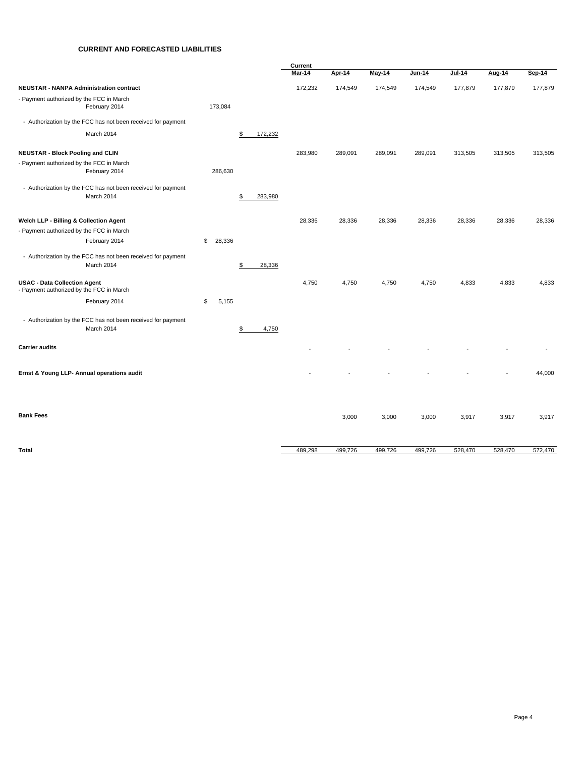#### **CURRENT AND FORECASTED LIABILITIES**

|                                                                                 |              |               | Current       |         |               |         |          |         |         |
|---------------------------------------------------------------------------------|--------------|---------------|---------------|---------|---------------|---------|----------|---------|---------|
|                                                                                 |              |               | <b>Mar-14</b> | Apr-14  | <b>May-14</b> | Jun-14  | $Jul-14$ | Aug-14  | Sep-14  |
| <b>NEUSTAR - NANPA Administration contract</b>                                  |              |               | 172,232       | 174,549 | 174,549       | 174,549 | 177,879  | 177,879 | 177,879 |
| - Payment authorized by the FCC in March<br>February 2014                       | 173,084      |               |               |         |               |         |          |         |         |
| - Authorization by the FCC has not been received for payment                    |              |               |               |         |               |         |          |         |         |
| March 2014                                                                      |              | \$<br>172,232 |               |         |               |         |          |         |         |
| <b>NEUSTAR - Block Pooling and CLIN</b>                                         |              |               | 283,980       | 289,091 | 289,091       | 289,091 | 313,505  | 313,505 | 313,505 |
| - Payment authorized by the FCC in March                                        |              |               |               |         |               |         |          |         |         |
| February 2014                                                                   | 286,630      |               |               |         |               |         |          |         |         |
| - Authorization by the FCC has not been received for payment<br>March 2014      |              | \$<br>283,980 |               |         |               |         |          |         |         |
| Welch LLP - Billing & Collection Agent                                          |              |               | 28,336        | 28,336  | 28,336        | 28,336  | 28,336   | 28,336  | 28,336  |
| - Payment authorized by the FCC in March                                        |              |               |               |         |               |         |          |         |         |
| February 2014                                                                   | \$<br>28,336 |               |               |         |               |         |          |         |         |
| - Authorization by the FCC has not been received for payment<br>March 2014      |              | \$<br>28,336  |               |         |               |         |          |         |         |
| <b>USAC - Data Collection Agent</b><br>- Payment authorized by the FCC in March |              |               | 4,750         | 4,750   | 4,750         | 4,750   | 4,833    | 4,833   | 4,833   |
| February 2014                                                                   | \$<br>5,155  |               |               |         |               |         |          |         |         |
| - Authorization by the FCC has not been received for payment<br>March 2014      |              | \$<br>4,750   |               |         |               |         |          |         |         |
| <b>Carrier audits</b>                                                           |              |               |               |         |               |         |          |         |         |
| Ernst & Young LLP- Annual operations audit                                      |              |               |               |         |               |         |          |         | 44,000  |
| <b>Bank Fees</b>                                                                |              |               |               | 3,000   | 3,000         | 3,000   | 3,917    | 3,917   | 3,917   |
| Total                                                                           |              |               | 489,298       | 499,726 | 499,726       | 499,726 | 528,470  | 528,470 | 572,470 |